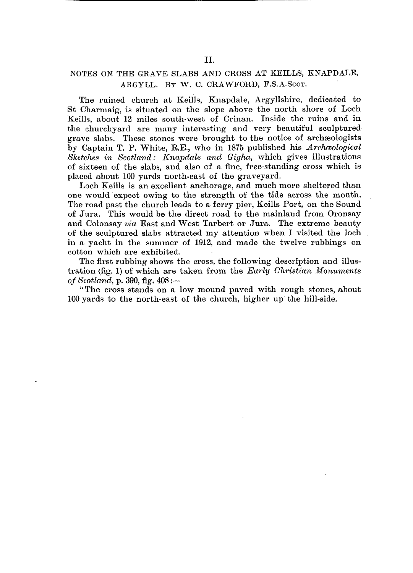## NOTES ON THE GRAVE SLABS AND CROSS AT KEILLS, KNAPDALE, ARGYLL. BY W. C. CRAWFORD, F.S.A.ScoT.

The ruined church at Keills, Knapdale, Argyllshire, dedicated to St Charmaig, is situated on the slope above the north shore of Loch Keills, about 12 miles south-west of Crinan. Inside the ruins and in the churchyard are many interesting and very beautiful sculptured grave slabs. These stones were brought to the notice of archaeologists by Captain T. P. White, RE., who in 1875 published his *Archaeological Sketches in Scotland: Knapdale and Gigha,* which gives illustrations of sixteen of the slabs, and also of a fine, free-standing cross which is placed about 100 yards north-east of the graveyard.

Loch Keills is an excellent anchorage, and much more sheltered than one would expect owing to the strength of the tide across the mouth. The road past the church leads to a ferry pier, Keills Port, on the Sound of Jura. This would be the direct road to the mainland from Oronsay and Colonsay *via* East and West Tarbert or Jura. The extreme beauty of the sculptured slabs attracted my attention when I visited the loch in a yacht in the summer of 1912, and made the twelve rubbings on cotton which are exhibited.

The first rubbing shows the cross, the following description and illustration (fig. 1) of which are taken from the *Early Christian Monuments of Scotland,* p. 390, fig. 408:—

" The cross stands on a low mound paved with rough stones, about 100 yards to the north-east of the church, higher up the hill-side.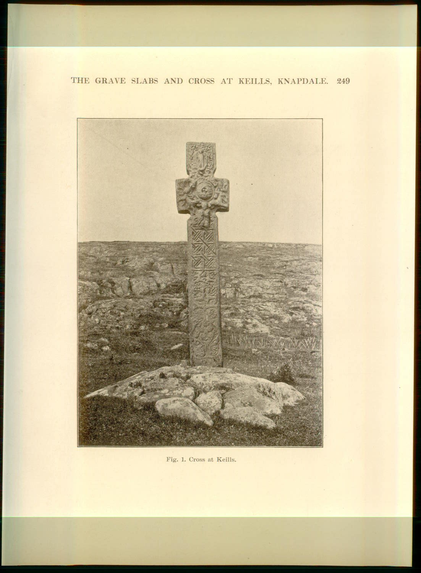## THE GRAVE SLABS AND CROSS AT KEILLS, KNAPDALE. 249



Fig. 1. Cross at Keills.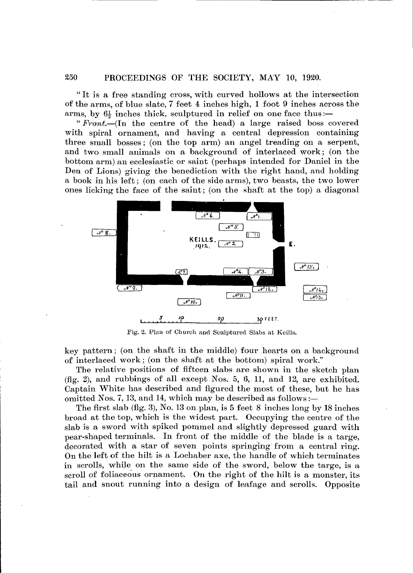" It is a free standing cross, with curved hollows at the intersection of the arms, of blue slate, 7 feet 4 inches high, 1 foot 9 inches across the arms, by  $6\frac{1}{9}$  inches thick, sculptured in relief on one face thus:—

" *Front.—*(In the centre of the head) a large raised boss covered with spiral ornament, and having a central depression containing three small bosses; (on the top arm) an angel treading on a serpent, and two small animals on a background of interlaced work; (on the bottom arm) an ecclesiastic or saint (perhaps intended for Daniel in the Den of Lions) giving the benediction with the right hand, and holding a book in his left; (on each of the side arms), two beasts, the two lower ones licking the face of the saint; (on the shaft at the top) a diagonal



Fig. 2. Plan of Church and Sculptured Slabs at Keills.

key pattern; (on the shaft in the middle) four hearts on a background of interlaced work; (on the shaft at the bottom) spiral work."

The relative positions of fifteen slabs are shown in the sketch plan (fig. 2), and rubbings of all except Nos. 5, 6, 11, and 12, are exhibited. Captain White has described and figured the most of these, but he has omitted Nos. 7, 13, and 14, which may be described as follows:—

The first slab (fig. 3), No. 13 on plan, is 5 feet 8 inches long by 18 inches broad at the top, which is the widest part. Occupying the centre of the slab is a sword with spiked pommel and slightly depressed guard with pear-shaped terminals. In front of the middle of the blade is a targe, decorated with a star of seven points springing from a central ring. On the left of the hilt is a Lochaber axe, the handle of which terminates in scrolls, while on the same side of the sword, below the targe, is a scroll of foliaceous ornament. On the right of the hilt is a monster, its tail and snout running into a design of leafage and scrolls. Opposite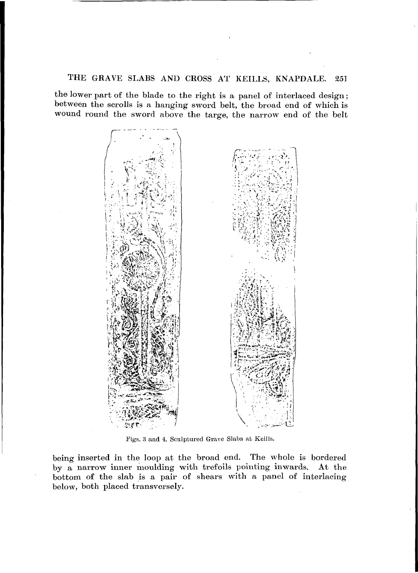## THE GRAVE SLABS AND CROSS AT KEILLS, KNAPDALE. 251

the lower part of the blade to the right is a panel of interlaced design; between the scrolls is a hanging sword belt, the broad end of which is wound round the sword above the targe, the narrow end of the belt



Figs. 3 and 4. Sculptured Grave Slabs at Keills.

being inserted in the loop at the broad end. The whole is bordered by a narrow inner moulding with trefoils pointing inwards. At the bottom of the slab is a pair of shears with a panel of interlacing below, both placed transversely.